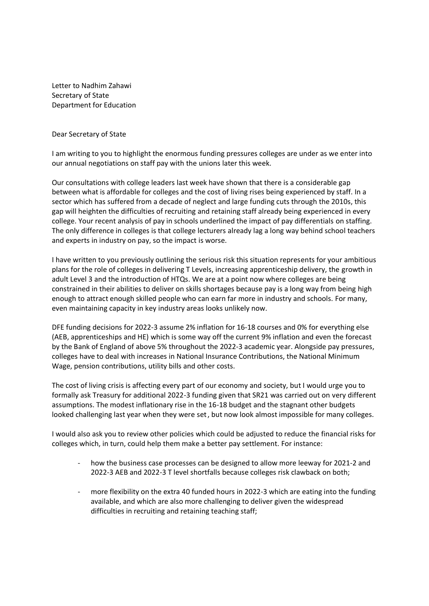Letter to Nadhim Zahawi Secretary of State Department for Education

Dear Secretary of State

I am writing to you to highlight the enormous funding pressures colleges are under as we enter into our annual negotiations on staff pay with the unions later this week.

Our consultations with college leaders last week have shown that there is a considerable gap between what is affordable for colleges and the cost of living rises being experienced by staff. In a sector which has suffered from a decade of neglect and large funding cuts through the 2010s, this gap will heighten the difficulties of recruiting and retaining staff already being experienced in every college. Your recent analysis of pay in schools underlined the impact of pay differentials on staffing. The only difference in colleges is that college lecturers already lag a long way behind school teachers and experts in industry on pay, so the impact is worse.

I have written to you previously outlining the serious risk this situation represents for your ambitious plans for the role of colleges in delivering T Levels, increasing apprenticeship delivery, the growth in adult Level 3 and the introduction of HTQs. We are at a point now where colleges are being constrained in their abilities to deliver on skills shortages because pay is a long way from being high enough to attract enough skilled people who can earn far more in industry and schools. For many, even maintaining capacity in key industry areas looks unlikely now.

DFE funding decisions for 2022-3 assume 2% inflation for 16-18 courses and 0% for everything else (AEB, apprenticeships and HE) which is some way off the current 9% inflation and even the forecast by the Bank of England of above 5% throughout the 2022-3 academic year. Alongside pay pressures, colleges have to deal with increases in National Insurance Contributions, the National Minimum Wage, pension contributions, utility bills and other costs.

The cost of living crisis is affecting every part of our economy and society, but I would urge you to formally ask Treasury for additional 2022-3 funding given that SR21 was carried out on very different assumptions. The modest inflationary rise in the 16-18 budget and the stagnant other budgets looked challenging last year when they were set, but now look almost impossible for many colleges.

I would also ask you to review other policies which could be adjusted to reduce the financial risks for colleges which, in turn, could help them make a better pay settlement. For instance:

- how the business case processes can be designed to allow more leeway for 2021-2 and 2022-3 AEB and 2022-3 T level shortfalls because colleges risk clawback on both;
- more flexibility on the extra 40 funded hours in 2022-3 which are eating into the funding available, and which are also more challenging to deliver given the widespread difficulties in recruiting and retaining teaching staff;